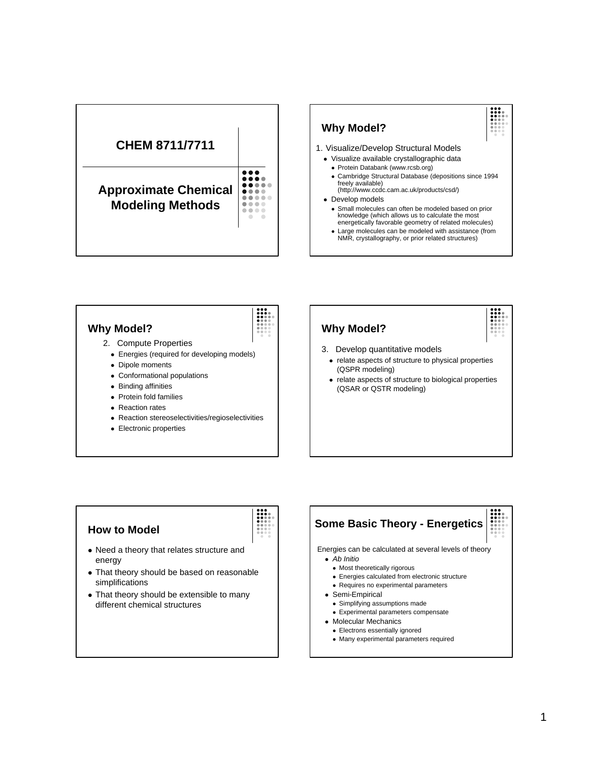



NMR, crystallography, or prior related structures)

### **Why Model?**

- 2. Compute Properties
	- Energies (required for developing models)
	- Dipole moments
	- Conformational populations
	- Binding affinities
	- Protein fold families
	- Reaction rates
	- Reaction stereoselectivities/regioselectivities
	- Electronic properties

# **Why Model?**

- 3. Develop quantitative models
	- relate aspects of structure to physical properties (QSPR modeling)
	- relate aspects of structure to biological properties (QSAR or QSTR modeling)

## **How to Model**

- Need a theory that relates structure and energy
- That theory should be based on reasonable simplifications
- That theory should be extensible to many different chemical structures

## **Some Basic Theory - Energetics** Energies can be calculated at several levels of theory <sup>l</sup> *Ab Initio* • Most theoretically rigorous • Energies calculated from electronic structure • Requires no experimental parameters • Semi-Empirical

- Simplifying assumptions made • Experimental parameters compensate
- Molecular Mechanics
	- Electrons essentially ignored
	- Many experimental parameters required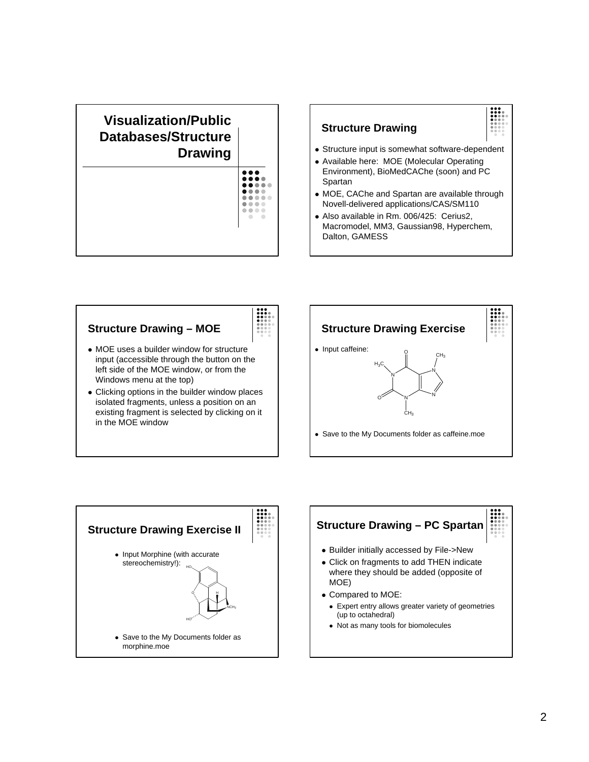### **Visualization/Public Databases/Structure Drawing** ... .... ....  $\bullet$   $\bullet$   $\bullet$ ..... .... ....

## **Structure Drawing** • Structure input is somewhat software-dependent • Available here: MOE (Molecular Operating Environment), BioMedCAChe (soon) and PC Spartan • MOE, CAChe and Spartan are available through Novell-delivered applications/CAS/SM110 • Also available in Rm. 006/425: Cerius2, Macromodel, MM3, Gaussian98, Hyperchem,

Dalton, GAMESS

# **Structure Drawing – MOE**



- MOE uses a builder window for structure input (accessible through the button on the left side of the MOE window, or from the Windows menu at the top)
- Clicking options in the builder window places isolated fragments, unless a position on an existing fragment is selected by clicking on it in the MOE window





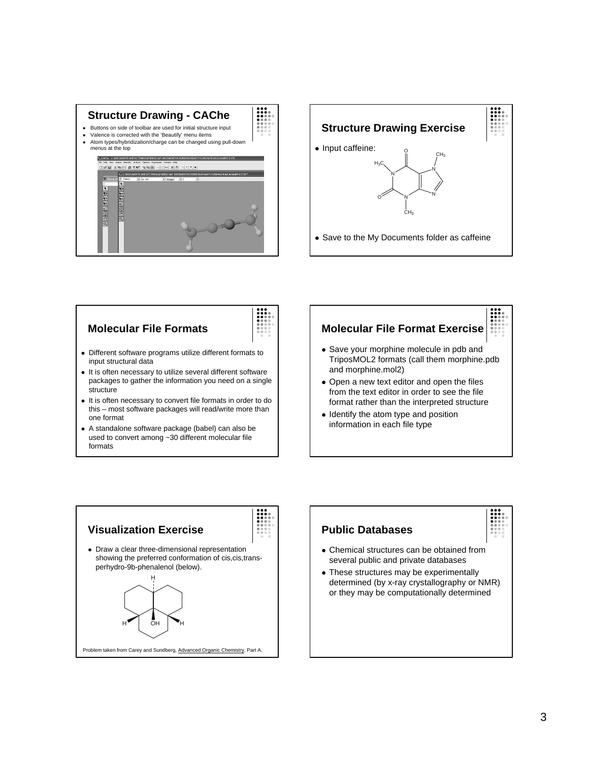



## **Molecular File Formats**

- Different software programs utilize different formats to input structural data
- It is often necessary to utilize several different software packages to gather the information you need on a single structure
- It is often necessary to convert file formats in order to do this – most software packages will read/write more than one format
- A standalone software package (babel) can also be used to convert among ~30 different molecular file formats

## **Molecular File Format Exercise**

- Save your morphine molecule in pdb and TriposMOL2 formats (call them morphine.pdb and morphine.mol2)
- Open a new text editor and open the files from the text editor in order to see the file format rather than the interpreted structure
- Identify the atom type and position information in each file type